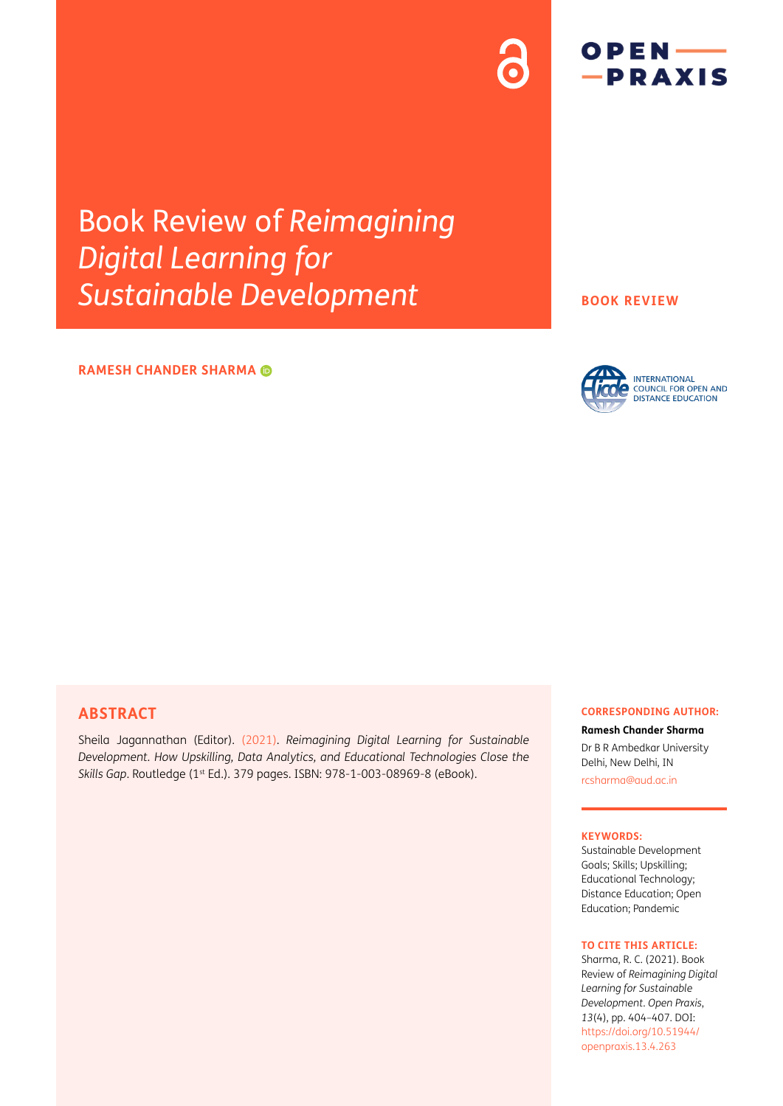# Book Review of *Reimagining Digital Learning for Sustainable Development*

### **RAMESH CHANDER SHARMA**

#### **BOOK REVIEW**



 $OPEN$  ––  $-PRAXIS$ 

### **ABSTRACT**

[Sheila Jagannathan \(Editor\). \(2021\)](#page-3-0). *Reimagining Digital Learning for Sustainable Development. How Upskilling, Data Analytics, and Educational Technologies Close the Skills Gap*. Routledge (1st Ed.). 379 pages. ISBN: 978-1-003-08969-8 (eBook).

#### **CORRESPONDING AUTHOR:**

**Ramesh Chander Sharma** Dr B R Ambedkar University Delhi, New Delhi, IN

[rcsharma@aud.ac.in](mailto:rcsharma@aud.ac.in)

#### **KEYWORDS:**

Sustainable Development Goals; Skills; Upskilling; Educational Technology; Distance Education; Open Education; Pandemic

#### **TO CITE THIS ARTICLE:**

Sharma, R. C. (2021). Book Review of *Reimagining Digital Learning for Sustainable Development*. *Open Praxis*, *13*(4), pp. 404–407. DOI: [https://doi.org/](https://doi.org/10.51944/openpraxis.13.4.263)10.55982/ [openpraxis.13.4.263](https://doi.org/10.51944/openpraxis.13.4.263)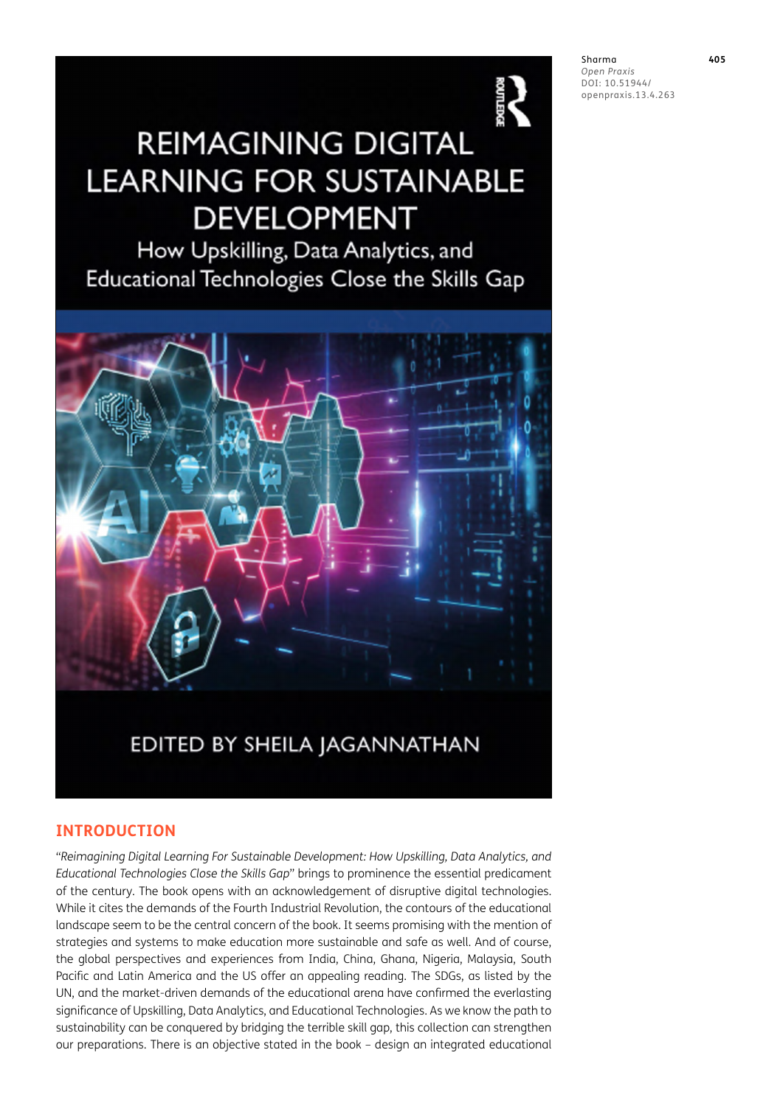

# **REIMAGINING DIGITAL LEARNING FOR SUSTAINABLE DEVELOPMENT**

How Upskilling, Data Analytics, and Educational Technologies Close the Skills Gap



# EDITED BY SHEILA JAGANNATHAN

# **INTRODUCTION**

"*Reimagining Digital Learning For Sustainable Development: How Upskilling, Data Analytics, and Educational Technologies Close the Skills Gap*" brings to prominence the essential predicament of the century. The book opens with an acknowledgement of disruptive digital technologies. While it cites the demands of the Fourth Industrial Revolution, the contours of the educational landscape seem to be the central concern of the book. It seems promising with the mention of strategies and systems to make education more sustainable and safe as well. And of course, the global perspectives and experiences from India, China, Ghana, Nigeria, Malaysia, South Pacific and Latin America and the US offer an appealing reading. The SDGs, as listed by the UN, and the market-driven demands of the educational arena have confirmed the everlasting significance of Upskilling, Data Analytics, and Educational Technologies. As we know the path to sustainability can be conquered by bridging the terrible skill gap, this collection can strengthen our preparations. There is an objective stated in the book – design an integrated educational Sharma **405** *Open Praxis* DOI: 10.55982/ openpraxis.13.4.263